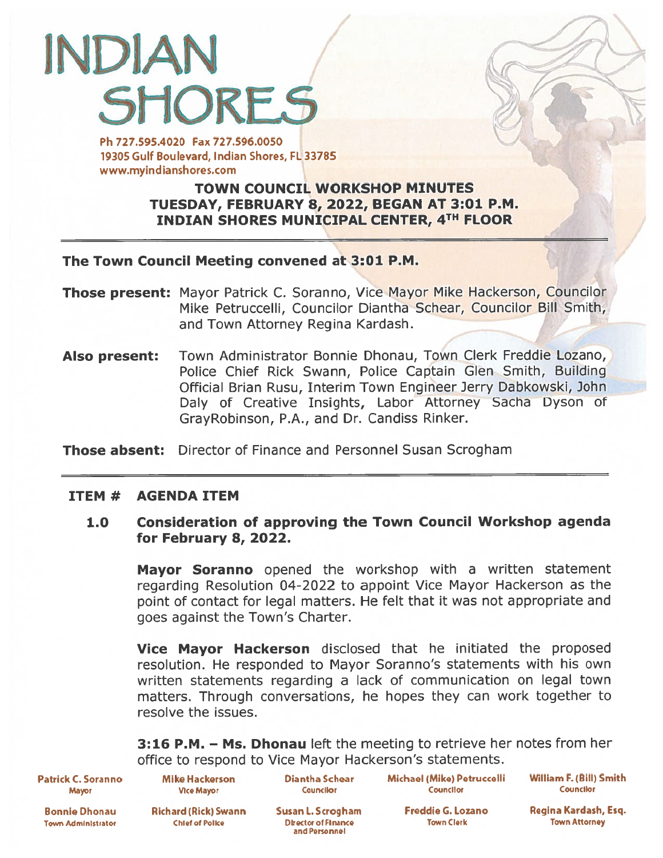# INDIAN **SHORES** Ph 727.595.4020 Fax 727.596.0050

19305 Gulf Boulevard, Indian Shores, FL 33785 www.myindianshores.com

## TOWN COUNCIL WORKSHOP MINUTES TUESDAY, FEBRUARY 8, 2022, BEGAN AT 3:01 P.M. INDIAN SHORES MUNICIPAL CENTER, 4TH FLOOR

## The Town Council Meeting convened at 3:01 P.M.

- Those present: Mayor Patrick C. Soranno, Vice Mayor Mike Hackerson, Councilor Mike Petruccelli, Councilor Diantha Schear, Councilor Bill Smith, and Town Attorney Regina Kardash.
- Also present: Town Administrator Bonnie Dhonau, Town Clerk Freddie Lozano, Police Chief Rick Swann, Police Captain Glen Smith, Building Official Brian Rusu, Interim Town Engineer Jerry Dabkowski, John Daly of Creative Insights, Labor Attorney Sacha Dyson of GrayRobinson, P.A., and Dr. Candiss Rinker.

Those absent: Director of Finance and Personnel Susan Scrogham

## ITEM # AGENDA ITEM

## 1.0 Consideration of approving the Town Council Workshop agenda for February 8, 2022.

**Mayor Soranno** opened the workshop with a written statement regarding Resolution 04-2022 to appoint Vice Mayor Hackerson as the point of contact for legal matters. He felt that it was not appropriate and goes against the Town's Charter.

Vice Mayor Hackerson disclosed that he initiated the proposed resolution. He responded to Mayor Soranno's statements with his own written statements regarding <sup>a</sup> lack of communication on legal town matters. Through conversations, he hopes they can work together to resolve the issues.

**3:16 P.M. – Ms. Dhonau** left the meeting to retrieve her notes from her office to respond to Vice Mayor Hackerson's statements.

Patrick C. Soranno Mike Hackerson Diantha Schear Michael (Mike) Petruccelli William F. (Bill) Smith Mayor Vic. Mayor Courxllor Councilor Councilor

Bonnie Dhonau Richard (Rick) Swann Susan L. Scrogham Freddie G. Lozano Regina Kardash, Esq. Town Administrator Chief of Police Director of Finance Town Clerk Town Clerk Town Attorney

and Personnel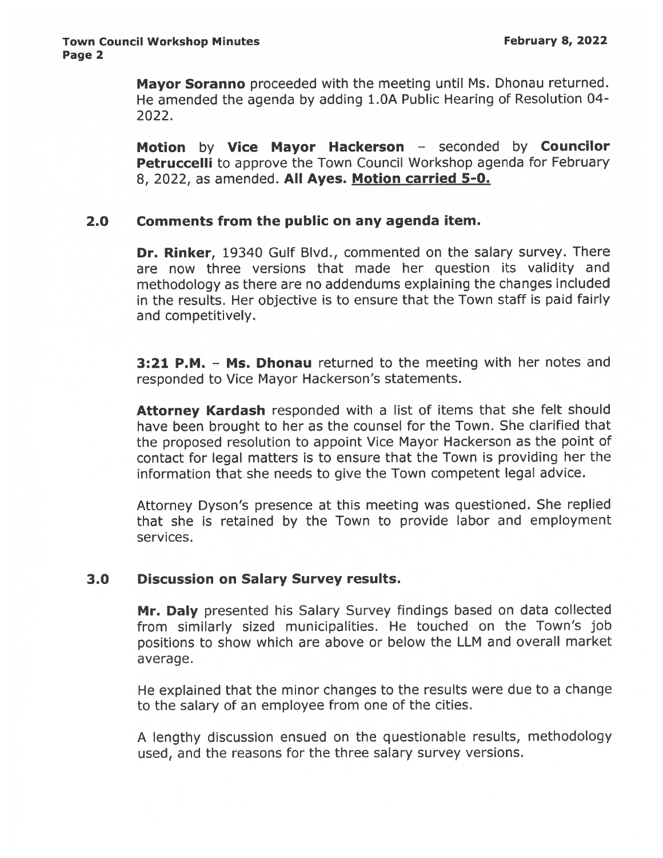Mayor Soranno proceeded with the meeting until Ms. Dhonau returned. He amended the agenda by adding 1.OA Public Hearing of Resolution 04- 2022.

Motion by Vice Mayor Hackerson - seconded by Councilor Petruccelli to approve the Town Council Workshop agenda for February 8, 2022, as amended. All Ayes. Motion carried 5-0.

#### 2.0 Comments from the public on any agenda item.

Dr. Rinker, 19340 Gulf Blvd., commented on the salary survey. There are now three versions that made her question its validity and methodology as there are no addendums explaining the changes included in the results. Her objective is to ensure that the Town staff is paid fairly and competitively.

**3:21 P.M. - Ms. Dhonau** returned to the meeting with her notes and responded to Vice Mayor Hackerson's statements.

Attorney Kardash responded with a list of items that she felt should have been brought to her as the counsel for the Town. She clarified that the propose<sup>d</sup> resolution to appoint Vice Mayor Hackerson as the point of contact for legal matters is to ensure that the Town is providing her the information that she needs to give the Town competent legal advice.

Attorney Dyson's presence at this meeting was questioned. She replied that she is retained by the Town to provide labor and employment services.

## 3.0 Discussion on Salary Survey results.

Mr. Daly presented his Salary Survey findings based on data collected from similarly sized municipalities. He touched on the Town's job positions to show which are above or below the LLM and overall market average.

He explained that the minor changes to the results were due to <sup>a</sup> change to the salary of an employee from one of the cities.

<sup>A</sup> lengthy discussion ensued on the questionable results, methodology used, and the reasons for the three salary survey versions.